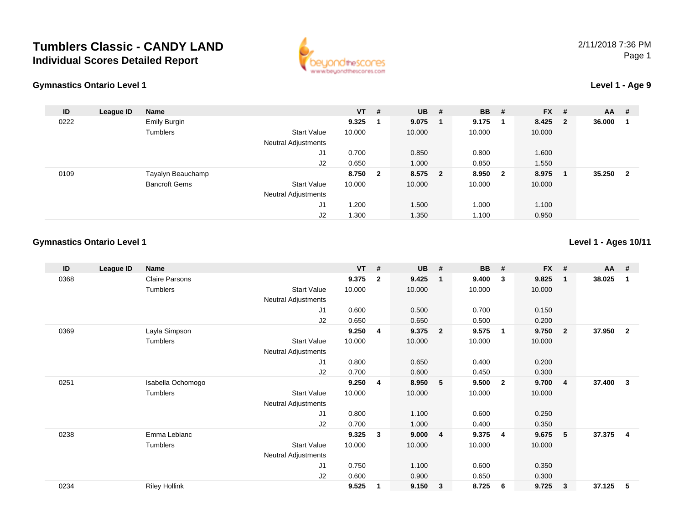## **Tumblers Classic - CANDY LANDIndividual Scores Detailed Report**





## **Level 1 - Age 9**

| ID   | League ID | <b>Name</b>          |                            | $VT$ # |                         | <b>UB</b> | # | <b>BB</b> | #                       | <b>FX</b> | #                       | <b>AA</b> | -#                      |
|------|-----------|----------------------|----------------------------|--------|-------------------------|-----------|---|-----------|-------------------------|-----------|-------------------------|-----------|-------------------------|
| 0222 |           | Emily Burgin         |                            | 9.325  |                         | 9.075     |   | 9.175     | - 1                     | 8.425     | $\overline{\mathbf{2}}$ | 36.000    |                         |
|      |           | Tumblers             | <b>Start Value</b>         | 10.000 |                         | 10.000    |   | 10.000    |                         | 10.000    |                         |           |                         |
|      |           |                      | <b>Neutral Adjustments</b> |        |                         |           |   |           |                         |           |                         |           |                         |
|      |           |                      | J1                         | 0.700  |                         | 0.850     |   | 0.800     |                         | 1.600     |                         |           |                         |
|      |           |                      | J2                         | 0.650  |                         | 1.000     |   | 0.850     |                         | 1.550     |                         |           |                         |
| 0109 |           | Tayalyn Beauchamp    |                            | 8.750  | $\overline{\mathbf{2}}$ | 8.575 2   |   | 8.950     | $\overline{\mathbf{2}}$ | 8.975     | -1                      | 35.250    | $\overline{\mathbf{2}}$ |
|      |           | <b>Bancroft Gems</b> | <b>Start Value</b>         | 10.000 |                         | 10.000    |   | 10.000    |                         | 10.000    |                         |           |                         |
|      |           |                      | <b>Neutral Adjustments</b> |        |                         |           |   |           |                         |           |                         |           |                         |
|      |           |                      | J1                         | .200   |                         | 1.500     |   | 1.000     |                         | 1.100     |                         |           |                         |
|      |           |                      | J2                         | .300   |                         | 1.350     |   | 1.100     |                         | 0.950     |                         |           |                         |

## **Gymnastics Ontario Level 1**

**Level 1 - Ages 10/11**

| ID   | League ID | <b>Name</b>           |                     | <b>VT</b> | #            | <b>UB</b> | #                       | <b>BB</b> | #                       | <b>FX</b> | #              | <b>AA</b> | #              |
|------|-----------|-----------------------|---------------------|-----------|--------------|-----------|-------------------------|-----------|-------------------------|-----------|----------------|-----------|----------------|
| 0368 |           | <b>Claire Parsons</b> |                     | 9.375     | $\mathbf{2}$ | 9.425     | -1                      | 9.400     | 3                       | 9.825     | $\mathbf 1$    | 38.025    | 1              |
|      |           | Tumblers              | <b>Start Value</b>  | 10.000    |              | 10.000    |                         | 10.000    |                         | 10.000    |                |           |                |
|      |           |                       | Neutral Adjustments |           |              |           |                         |           |                         |           |                |           |                |
|      |           |                       | J1                  | 0.600     |              | 0.500     |                         | 0.700     |                         | 0.150     |                |           |                |
|      |           |                       | J <sub>2</sub>      | 0.650     |              | 0.650     |                         | 0.500     |                         | 0.200     |                |           |                |
| 0369 |           | Layla Simpson         |                     | 9.250     | 4            | 9.375     | $\overline{\mathbf{2}}$ | 9.575     | $\mathbf 1$             | 9.750     | $\overline{2}$ | 37.950    | $\overline{2}$ |
|      |           | Tumblers              | Start Value         | 10.000    |              | 10.000    |                         | 10.000    |                         | 10.000    |                |           |                |
|      |           |                       | Neutral Adjustments |           |              |           |                         |           |                         |           |                |           |                |
|      |           |                       | J1                  | 0.800     |              | 0.650     |                         | 0.400     |                         | 0.200     |                |           |                |
|      |           |                       | J2                  | 0.700     |              | 0.600     |                         | 0.450     |                         | 0.300     |                |           |                |
| 0251 |           | Isabella Ochomogo     |                     | 9.250     | 4            | 8.950     | 5 <sub>5</sub>          | 9.500     | $\overline{\mathbf{2}}$ | 9.700     | $\overline{4}$ | 37.400    | $\mathbf{3}$   |
|      |           | Tumblers              | <b>Start Value</b>  | 10.000    |              | 10.000    |                         | 10.000    |                         | 10.000    |                |           |                |
|      |           |                       | Neutral Adjustments |           |              |           |                         |           |                         |           |                |           |                |
|      |           |                       | J1                  | 0.800     |              | 1.100     |                         | 0.600     |                         | 0.250     |                |           |                |
|      |           |                       | J2                  | 0.700     |              | 1.000     |                         | 0.400     |                         | 0.350     |                |           |                |
| 0238 |           | Emma Leblanc          |                     | 9.325     | 3            | 9.000     | $\overline{4}$          | 9.375     | - 4                     | 9.675     | 5              | 37.375    | 4              |
|      |           | Tumblers              | Start Value         | 10.000    |              | 10.000    |                         | 10.000    |                         | 10.000    |                |           |                |
|      |           |                       | Neutral Adjustments |           |              |           |                         |           |                         |           |                |           |                |
|      |           |                       | J <sub>1</sub>      | 0.750     |              | 1.100     |                         | 0.600     |                         | 0.350     |                |           |                |
|      |           |                       | J <sub>2</sub>      | 0.600     |              | 0.900     |                         | 0.650     |                         | 0.300     |                |           |                |
| 0234 |           | <b>Riley Hollink</b>  |                     | 9.525     |              | 9.150     | $\mathbf{3}$            | 8.725     | - 6                     | 9.725     | 3              | 37.125    | 5              |